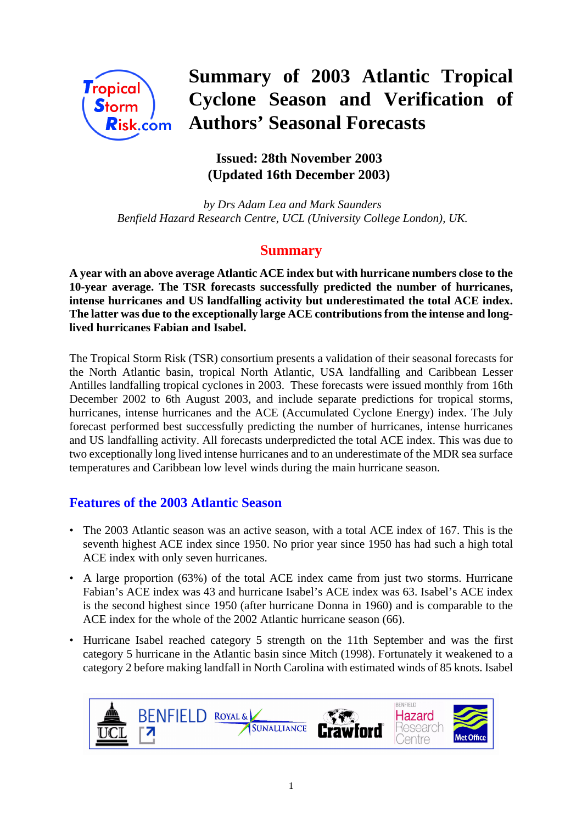

# **Summary of 2003 Atlantic Tropical Cyclone Season and Verification of Authors' Seasonal Forecasts**

# **Issued: 28th November 2003 (Updated 16th December 2003)**

 *by Drs Adam Lea and Mark Saunders Benfield Hazard Research Centre, UCL (University College London), UK.*

## **Summary**

**A year with an above average Atlantic ACE index but with hurricane numbers close to the 10-year average. The TSR forecasts successfully predicted the number of hurricanes, intense hurricanes and US landfalling activity but underestimated the total ACE index. The latter was due to the exceptionally large ACE contributions from the intense and longlived hurricanes Fabian and Isabel.**

The Tropical Storm Risk (TSR) consortium presents a validation of their seasonal forecasts for the North Atlantic basin, tropical North Atlantic, USA landfalling and Caribbean Lesser Antilles landfalling tropical cyclones in 2003. These forecasts were issued monthly from 16th December 2002 to 6th August 2003, and include separate predictions for tropical storms, hurricanes, intense hurricanes and the ACE (Accumulated Cyclone Energy) index. The July forecast performed best successfully predicting the number of hurricanes, intense hurricanes and US landfalling activity. All forecasts underpredicted the total ACE index. This was due to two exceptionally long lived intense hurricanes and to an underestimate of the MDR sea surface temperatures and Caribbean low level winds during the main hurricane season.

## **Features of the 2003 Atlantic Season**

- The 2003 Atlantic season was an active season, with a total ACE index of 167. This is the seventh highest ACE index since 1950. No prior year since 1950 has had such a high total ACE index with only seven hurricanes.
- A large proportion (63%) of the total ACE index came from just two storms. Hurricane Fabian's ACE index was 43 and hurricane Isabel's ACE index was 63. Isabel's ACE index is the second highest since 1950 (after hurricane Donna in 1960) and is comparable to the ACE index for the whole of the 2002 Atlantic hurricane season (66).
- Hurricane Isabel reached category 5 strength on the 11th September and was the first category 5 hurricane in the Atlantic basin since Mitch (1998). Fortunately it weakened to a category 2 before making landfall in North Carolina with estimated winds of 85 knots. Isabel

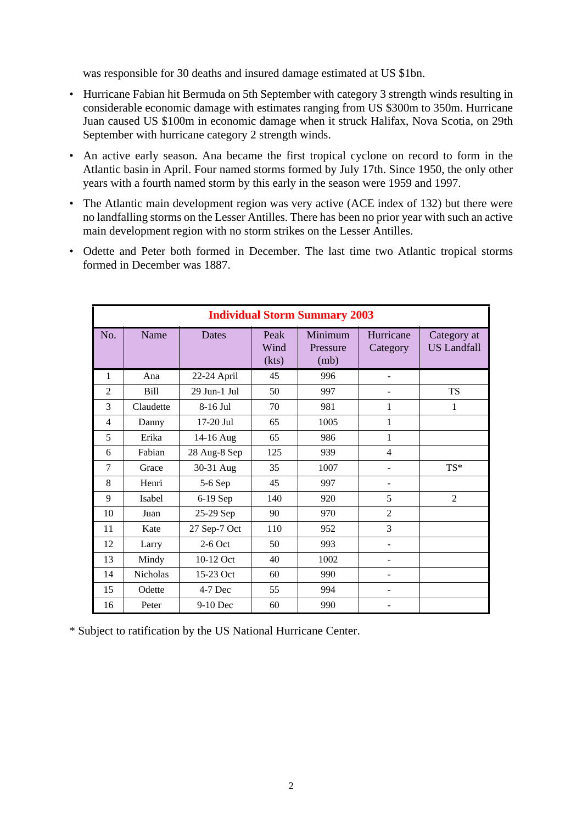was responsible for 30 deaths and insured damage estimated at US \$1bn.

- Hurricane Fabian hit Bermuda on 5th September with category 3 strength winds resulting in considerable economic damage with estimates ranging from US \$300m to 350m. Hurricane Juan caused US \$100m in economic damage when it struck Halifax, Nova Scotia, on 29th September with hurricane category 2 strength winds.
- An active early season. Ana became the first tropical cyclone on record to form in the Atlantic basin in April. Four named storms formed by July 17th. Since 1950, the only other years with a fourth named storm by this early in the season were 1959 and 1997.
- The Atlantic main development region was very active (ACE index of 132) but there were no landfalling storms on the Lesser Antilles. There has been no prior year with such an active main development region with no storm strikes on the Lesser Antilles.
- Odette and Peter both formed in December. The last time two Atlantic tropical storms formed in December was 1887.

| <b>Individual Storm Summary 2003</b> |           |              |                       |                             |                       |                                   |  |
|--------------------------------------|-----------|--------------|-----------------------|-----------------------------|-----------------------|-----------------------------------|--|
| No.                                  | Name      | <b>Dates</b> | Peak<br>Wind<br>(kts) | Minimum<br>Pressure<br>(mb) | Hurricane<br>Category | Category at<br><b>US Landfall</b> |  |
| 1                                    | Ana       | 22-24 April  | 45                    | 996                         |                       |                                   |  |
| $\overline{2}$                       | Bill      | 29 Jun-1 Jul | 50                    | 997                         |                       | <b>TS</b>                         |  |
| 3                                    | Claudette | 8-16 Jul     | 70                    | 981                         | 1                     | 1                                 |  |
| $\overline{4}$                       | Danny     | 17-20 Jul    | 65                    | 1005                        | 1                     |                                   |  |
| 5                                    | Erika     | 14-16 Aug    | 65                    | 986                         | 1                     |                                   |  |
| 6                                    | Fabian    | 28 Aug-8 Sep | 125                   | 939                         | $\overline{4}$        |                                   |  |
| 7                                    | Grace     | 30-31 Aug    | 35                    | 1007                        |                       | TS*                               |  |
| 8                                    | Henri     | 5-6 Sep      | 45                    | 997                         |                       |                                   |  |
| 9                                    | Isabel    | 6-19 Sep     | 140                   | 920                         | 5                     | $\overline{2}$                    |  |
| 10                                   | Juan      | 25-29 Sep    | 90                    | 970                         | $\overline{2}$        |                                   |  |
| 11                                   | Kate      | 27 Sep-7 Oct | 110                   | 952                         | 3                     |                                   |  |
| 12                                   | Larry     | $2-6$ Oct    | 50                    | 993                         | ۰                     |                                   |  |
| 13                                   | Mindy     | 10-12 Oct    | 40                    | 1002                        |                       |                                   |  |
| 14                                   | Nicholas  | 15-23 Oct    | 60                    | 990                         |                       |                                   |  |
| 15                                   | Odette    | 4-7 Dec      | 55                    | 994                         |                       |                                   |  |
| 16                                   | Peter     | 9-10 Dec     | 60                    | 990                         |                       |                                   |  |

\* Subject to ratification by the US National Hurricane Center.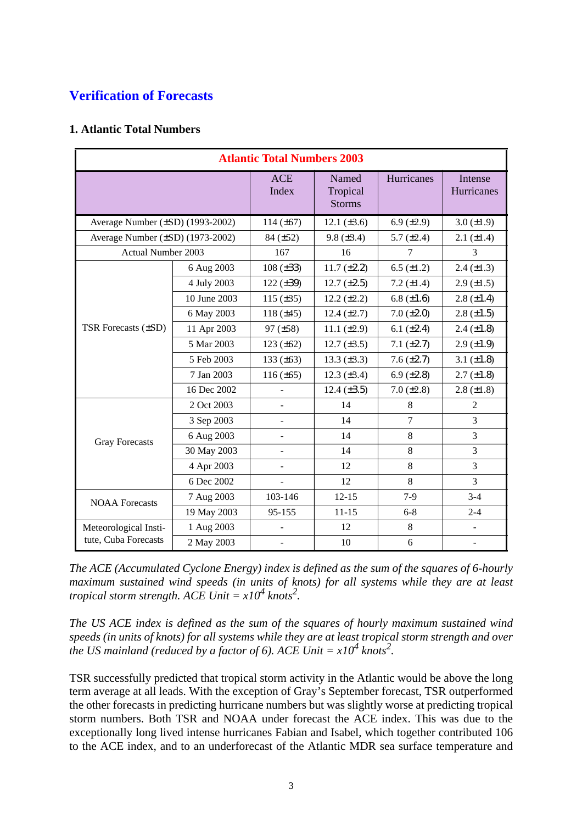# **Verification of Forecasts**

#### **1. Atlantic Total Numbers**

| <b>Atlantic Total Numbers 2003</b> |              |                     |                                    |                 |                       |  |
|------------------------------------|--------------|---------------------|------------------------------------|-----------------|-----------------------|--|
|                                    |              | <b>ACE</b><br>Index | Named<br>Tropical<br><b>Storms</b> | Hurricanes      | Intense<br>Hurricanes |  |
| Average Number (±SD) (1993-2002)   |              | 114 $(\pm 67)$      | 12.1 $(\pm 3.6)$                   | 6.9 $(\pm 2.9)$ | $3.0 (\pm 1.9)$       |  |
| Average Number (±SD) (1973-2002)   |              | $84 (\pm 52)$       | $9.8 (\pm 3.4)$                    | 5.7 $(\pm 2.4)$ | $2.1 (\pm 1.4)$       |  |
| <b>Actual Number 2003</b>          |              | 167                 | 16                                 | 7               | 3                     |  |
|                                    | 6 Aug 2003   | $108 (\pm 33)$      | $11.7 (\pm 2.2)$                   | 6.5 $(\pm 1.2)$ | $2.4 (\pm 1.3)$       |  |
|                                    | 4 July 2003  | 122 $(\pm 39)$      | $12.7 (\pm 2.5)$                   | 7.2 $(\pm 1.4)$ | $2.9 \ (\pm 1.5)$     |  |
|                                    | 10 June 2003 | 115 $(\pm 35)$      | $12.2 (\pm 2.2)$                   | 6.8 $(\pm 1.6)$ | $2.8 (\pm 1.4)$       |  |
|                                    | 6 May 2003   | 118 $(\pm 45)$      | $12.4 (\pm 2.7)$                   | $7.0 (\pm 2.0)$ | $2.8 (\pm 1.5)$       |  |
| TSR Forecasts (±SD)                | 11 Apr 2003  | $97 (\pm 58)$       | 11.1 $(\pm 2.9)$                   | 6.1 $(\pm 2.4)$ | $2.4 (\pm 1.8)$       |  |
|                                    | 5 Mar 2003   | 123 $(\pm 62)$      | 12.7 $(\pm 3.5)$                   | $7.1 (\pm 2.7)$ | $2.9 \ (\pm 1.9)$     |  |
|                                    | 5 Feb 2003   | 133 $(\pm 63)$      | $13.3 (\pm 3.3)$                   | $7.6 (\pm 2.7)$ | 3.1 $(\pm 1.8)$       |  |
|                                    | 7 Jan 2003   | $116 (\pm 65)$      | $12.3 \ (\pm 3.4)$                 | 6.9 $(\pm 2.8)$ | $2.7 (\pm 1.8)$       |  |
|                                    | 16 Dec 2002  |                     | $12.4 (\pm 3.5)$                   | $7.0 (\pm 2.8)$ | $2.8 (\pm 1.8)$       |  |
|                                    | 2 Oct 2003   |                     | 14                                 | 8               | $\overline{2}$        |  |
|                                    | 3 Sep 2003   |                     | 14                                 | $\overline{7}$  | 3                     |  |
| <b>Gray Forecasts</b>              | 6 Aug 2003   |                     | 14                                 | 8               | 3                     |  |
|                                    | 30 May 2003  | $\overline{a}$      | 14                                 | 8               | 3                     |  |
|                                    | 4 Apr 2003   |                     | 12                                 | 8               | 3                     |  |
|                                    | 6 Dec 2002   |                     | 12                                 | 8               | $\overline{3}$        |  |
| <b>NOAA Forecasts</b>              | 7 Aug 2003   | 103-146             | $12 - 15$                          | $7-9$           | $3-4$                 |  |
|                                    | 19 May 2003  | 95-155              | $11 - 15$                          | $6 - 8$         | $2 - 4$               |  |
| Meteorological Insti-              | 1 Aug 2003   |                     | 12                                 | 8               | $\blacksquare$        |  |
| tute, Cuba Forecasts               | 2 May 2003   |                     | 10                                 | 6               | $\blacksquare$        |  |

*The ACE (Accumulated Cyclone Energy) index is defined as the sum of the squares of 6-hourly maximum sustained wind speeds (in units of knots) for all systems while they are at least tropical storm strength.*  $ACE$   $Unit = x10^4$   $knots^2$ .

*The US ACE index is defined as the sum of the squares of hourly maximum sustained wind speeds (in units of knots) for all systems while they are at least tropical storm strength and over the US mainland (reduced by a factor of 6). ACE Unit* =  $x10^4$  knots<sup>2</sup>.

TSR successfully predicted that tropical storm activity in the Atlantic would be above the long term average at all leads. With the exception of Gray's September forecast, TSR outperformed the other forecasts in predicting hurricane numbers but was slightly worse at predicting tropical storm numbers. Both TSR and NOAA under forecast the ACE index. This was due to the exceptionally long lived intense hurricanes Fabian and Isabel, which together contributed 106 to the ACE index, and to an underforecast of the Atlantic MDR sea surface temperature and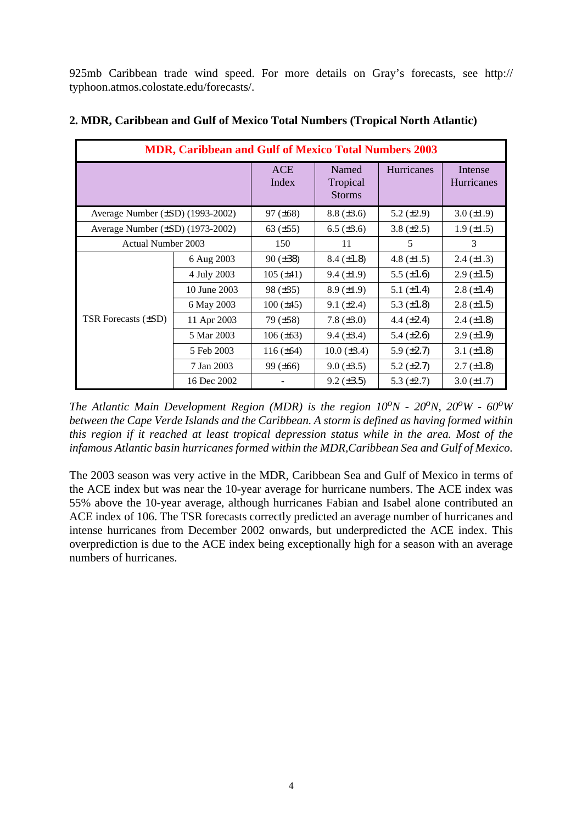925mb Caribbean trade wind speed. For more details on Gray's forecasts, see http:// typhoon.atmos.colostate.edu/forecasts/.

| <b>MDR, Caribbean and Gulf of Mexico Total Numbers 2003</b> |              |                     |                                    |                   |                       |  |  |
|-------------------------------------------------------------|--------------|---------------------|------------------------------------|-------------------|-----------------------|--|--|
|                                                             |              | <b>ACE</b><br>Index | Named<br>Tropical<br><b>Storms</b> | <b>Hurricanes</b> | Intense<br>Hurricanes |  |  |
| Average Number (±SD) (1993-2002)                            |              | $97 (\pm 68)$       | $8.8 (\pm 3.6)$                    | 5.2 $(\pm 2.9)$   | $3.0 (\pm 1.9)$       |  |  |
| Average Number (±SD) (1973-2002)                            |              | 63 $(\pm 55)$       | $6.5 (\pm 3.6)$                    | $3.8 (\pm 2.5)$   | $1.9 \ (\pm 1.5)$     |  |  |
| <b>Actual Number 2003</b>                                   |              | 150                 | 11                                 | 5                 | 3                     |  |  |
|                                                             | 6 Aug 2003   | $90 (\pm 38)$       | $8.4 (\pm 1.8)$                    | 4.8 $(\pm 1.5)$   | $2.4 \ (\pm 1.3)$     |  |  |
|                                                             | 4 July 2003  | $105 (\pm 41)$      | $9.4 (\pm 1.9)$                    | 5.5 $(\pm 1.6)$   | $2.9 \ (\pm 1.5)$     |  |  |
|                                                             | 10 June 2003 | $98 (\pm 35)$       | $8.9 \ (\pm 1.9)$                  | 5.1 $(\pm 1.4)$   | $2.8 (\pm 1.4)$       |  |  |
|                                                             | 6 May 2003   | $100 (\pm 45)$      | $9.1 (\pm 2.4)$                    | 5.3 $(\pm 1.8)$   | $2.8 (\pm 1.5)$       |  |  |
| TSR Forecasts (±SD)                                         | 11 Apr 2003  | 79(.±58)            | 7.8 $(\pm 3.0)$                    | 4.4 $(\pm 2.4)$   | $2.4 \ (\pm 1.8)$     |  |  |
|                                                             | 5 Mar 2003   | $106 (\pm 63)$      | $9.4 \ (\pm 3.4)$                  | 5.4 $(\pm 2.6)$   | $2.9 \ (\pm 1.9)$     |  |  |
|                                                             | 5 Feb 2003   | $116 (\pm 64)$      | $10.0 (\pm 3.4)$                   | 5.9 $(\pm 2.7)$   | 3.1 $(\pm 1.8)$       |  |  |
|                                                             | 7 Jan 2003   | $99 (\pm 66)$       | $9.0 \ (\pm 3.5)$                  | 5.2 $(\pm 2.7)$   | $2.7 (\pm 1.8)$       |  |  |
|                                                             | 16 Dec 2002  |                     | $9.2 \ (\pm 3.5)$                  | 5.3 $(\pm 2.7)$   | $3.0 (\pm 1.7)$       |  |  |

#### **2. MDR, Caribbean and Gulf of Mexico Total Numbers (Tropical North Atlantic)**

*The Atlantic Main Development Region (MDR) is the region*  $10^{\circ}N$  *-*  $20^{\circ}N$ *,*  $20^{\circ}W$  *-*  $60^{\circ}W$ *between the Cape Verde Islands and the Caribbean. A storm is defined as having formed within this region if it reached at least tropical depression status while in the area. Most of the infamous Atlantic basin hurricanes formed within the MDR,Caribbean Sea and Gulf of Mexico.*

The 2003 season was very active in the MDR, Caribbean Sea and Gulf of Mexico in terms of the ACE index but was near the 10-year average for hurricane numbers. The ACE index was 55% above the 10-year average, although hurricanes Fabian and Isabel alone contributed an ACE index of 106. The TSR forecasts correctly predicted an average number of hurricanes and intense hurricanes from December 2002 onwards, but underpredicted the ACE index. This overprediction is due to the ACE index being exceptionally high for a season with an average numbers of hurricanes.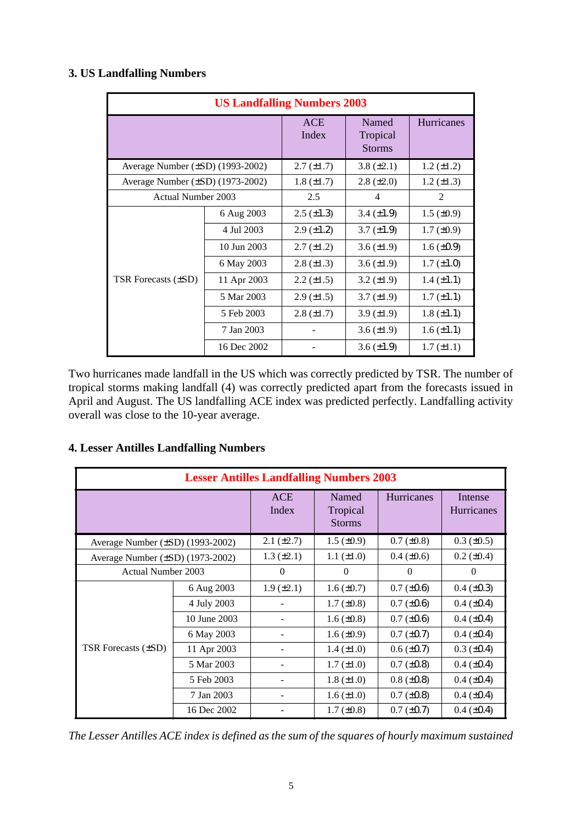## **3. US Landfalling Numbers**

| <b>US Landfalling Numbers 2003</b>    |                 |                     |                                    |                   |  |  |  |
|---------------------------------------|-----------------|---------------------|------------------------------------|-------------------|--|--|--|
|                                       |                 | <b>ACE</b><br>Index | Named<br>Tropical<br><b>Storms</b> | <b>Hurricanes</b> |  |  |  |
| Average Number (±SD) (1993-2002)      |                 | $2.7 (\pm 1.7)$     | 3.8 $(\pm 2.1)$                    | $1.2 (\pm 1.2)$   |  |  |  |
| Average Number $(\pm SD)$ (1973-2002) | $1.8 (\pm 1.7)$ | $2.8 (\pm 2.0)$     | $1.2 (\pm 1.3)$                    |                   |  |  |  |
| Actual Number 2003                    |                 | 2.5                 | $\overline{4}$                     | $\overline{2}$    |  |  |  |
|                                       | 6 Aug 2003      | $2.5 \ (\pm 1.3)$   | 3.4 $(\pm 1.9)$                    | $1.5 \ (\pm 0.9)$ |  |  |  |
|                                       | 4 Jul 2003      | $2.9 \ (\pm 1.2)$   | $3.7 (\pm 1.9)$                    | $1.7 \ (\pm 0.9)$ |  |  |  |
|                                       | 10 Jun 2003     | $2.7 (\pm 1.2)$     | 3.6 $(\pm 1.9)$                    | $1.6 \ (\pm 0.9)$ |  |  |  |
|                                       | 6 May 2003      | $2.8 (\pm 1.3)$     | 3.6 $(\pm 1.9)$                    | $1.7 (\pm 1.0)$   |  |  |  |
| TSR Forecasts (±SD)                   | 11 Apr 2003     | $2.2 (\pm 1.5)$     | $3.2 (\pm 1.9)$                    | $1.4 (\pm 1.1)$   |  |  |  |
|                                       | 5 Mar 2003      | $2.9 \ (\pm 1.5)$   | $3.7 (\pm 1.9)$                    | $1.7 (\pm 1.1)$   |  |  |  |
|                                       | 5 Feb 2003      | $2.8 \ (\pm 1.7)$   | $3.9 \ (\pm 1.9)$                  | $1.8 (\pm 1.1)$   |  |  |  |
|                                       | 7 Jan 2003      |                     | 3.6 $(\pm 1.9)$                    | $1.6 (\pm 1.1)$   |  |  |  |
|                                       | 16 Dec 2002     |                     | $3.6 \, (\pm 1.9)$                 | $1.7 (\pm 1.1)$   |  |  |  |

Two hurricanes made landfall in the US which was correctly predicted by TSR. The number of tropical storms making landfall (4) was correctly predicted apart from the forecasts issued in April and August. The US landfalling ACE index was predicted perfectly. Landfalling activity overall was close to the 10-year average.

#### **4. Lesser Antilles Landfalling Numbers**

| <b>Lesser Antilles Landfalling Numbers 2003</b> |              |                     |                                    |                 |                              |  |  |
|-------------------------------------------------|--------------|---------------------|------------------------------------|-----------------|------------------------------|--|--|
|                                                 |              | <b>ACE</b><br>Index | Named<br>Tropical<br><b>Storms</b> | Hurricanes      | Intense<br><b>Hurricanes</b> |  |  |
| Average Number $(\pm SD)$ (1993-2002)           |              | $2.1 (\pm 2.7)$     | $1.5 \ (\pm 0.9)$                  | $0.7 (\pm 0.8)$ | $0.3 \ (\pm 0.5)$            |  |  |
| Average Number $(\pm SD)$ (1973-2002)           |              | $1.3 \ (\pm 2.1)$   | $1.1 (\pm 1.0)$                    | $0.4 (\pm 0.6)$ | $0.2 (\pm 0.4)$              |  |  |
| Actual Number 2003                              |              | $\theta$            | $\theta$                           | $\Omega$        | $\theta$                     |  |  |
|                                                 | 6 Aug 2003   | $1.9 \ (\pm 2.1)$   | $1.6 \, (\pm 0.7)$                 | $0.7 (\pm 0.6)$ | $0.4 (\pm 0.3)$              |  |  |
|                                                 | 4 July 2003  |                     | $1.7 (\pm 0.8)$                    | $0.7 (\pm 0.6)$ | $0.4 (\pm 0.4)$              |  |  |
|                                                 | 10 June 2003 |                     | 1.6 $(\pm 0.8)$                    | $0.7 (\pm 0.6)$ | $0.4 (\pm 0.4)$              |  |  |
|                                                 | 6 May 2003   |                     | 1.6 $(\pm 0.9)$                    | $0.7 (\pm 0.7)$ | $0.4 (\pm 0.4)$              |  |  |
| TSR Forecasts (±SD)                             | 11 Apr 2003  |                     | 1.4 $(\pm 1.0)$                    | $0.6 (\pm 0.7)$ | $0.3 (\pm 0.4)$              |  |  |
|                                                 | 5 Mar 2003   |                     | $1.7 (\pm 1.0)$                    | $0.7 (\pm 0.8)$ | $0.4 (\pm 0.4)$              |  |  |
|                                                 | 5 Feb 2003   |                     | $1.8 (\pm 1.0)$                    | $0.8 (\pm 0.8)$ | $0.4 (\pm 0.4)$              |  |  |
|                                                 | 7 Jan 2003   |                     | $1.6 (\pm 1.0)$                    | $0.7 (\pm 0.8)$ | $0.4 (\pm 0.4)$              |  |  |
|                                                 | 16 Dec 2002  |                     | $1.7 \ (\pm 0.8)$                  | $0.7 (\pm 0.7)$ | $0.4 (\pm 0.4)$              |  |  |

*The Lesser Antilles ACE index is defined as the sum of the squares of hourly maximum sustained*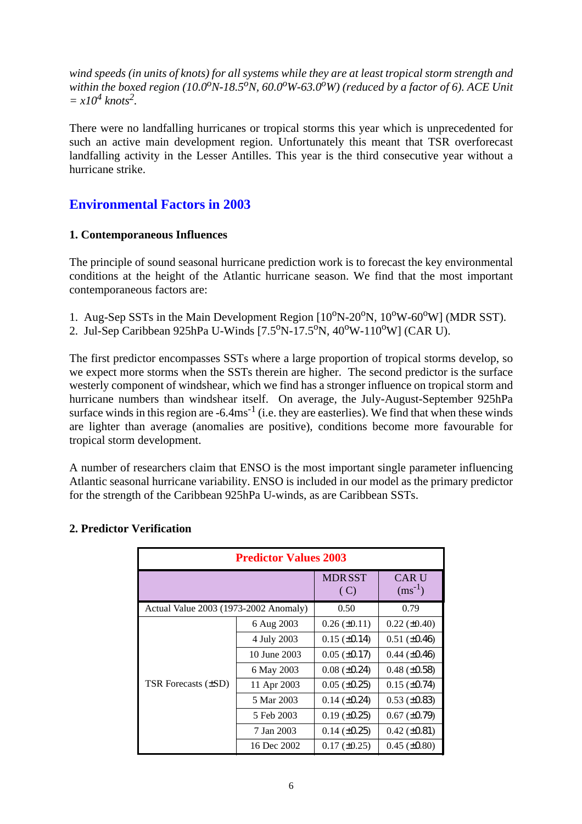*wind speeds (in units of knots) for all systems while they are at least tropical storm strength and* within the boxed region (10.0<sup>o</sup>N-18.5<sup>o</sup>N, 60.0<sup>o</sup>W-63.0<sup>o</sup>W) (reduced by a factor of 6). ACE Unit  $= x10^4$  knots<sup>2</sup>.

There were no landfalling hurricanes or tropical storms this year which is unprecedented for such an active main development region. Unfortunately this meant that TSR overforecast landfalling activity in the Lesser Antilles. This year is the third consecutive year without a hurricane strike.

### **Environmental Factors in 2003**

#### **1. Contemporaneous Influences**

The principle of sound seasonal hurricane prediction work is to forecast the key environmental conditions at the height of the Atlantic hurricane season. We find that the most important contemporaneous factors are:

- 1. Aug-Sep SSTs in the Main Development Region  $[10^{\circ}N-20^{\circ}N, 10^{\circ}W-60^{\circ}W]$  (MDR SST).
- 2. Jul-Sep Caribbean 925hPa U-Winds  $[7.5^{\circ}N 17.5^{\circ}N, 40^{\circ}W 110^{\circ}W]$  (CAR U).

The first predictor encompasses SSTs where a large proportion of tropical storms develop, so we expect more storms when the SSTs therein are higher. The second predictor is the surface westerly component of windshear, which we find has a stronger influence on tropical storm and hurricane numbers than windshear itself. On average, the July-August-September 925hPa surface winds in this region are  $-6.4 \text{ms}^{-1}$  (i.e. they are easterlies). We find that when these winds are lighter than average (anomalies are positive), conditions become more favourable for tropical storm development.

A number of researchers claim that ENSO is the most important single parameter influencing Atlantic seasonal hurricane variability. ENSO is included in our model as the primary predictor for the strength of the Caribbean 925hPa U-winds, as are Caribbean SSTs.

| <b>Predictor Values 2003</b>          |              |                       |                             |  |  |  |
|---------------------------------------|--------------|-----------------------|-----------------------------|--|--|--|
|                                       |              | <b>MDR SST</b><br>(C) | <b>CAR U</b><br>$(ms^{-1})$ |  |  |  |
| Actual Value 2003 (1973-2002 Anomaly) | 0.50         | 0.79                  |                             |  |  |  |
|                                       | 6 Aug 2003   | $0.26 (\pm 0.11)$     | $0.22 (\pm 0.40)$           |  |  |  |
|                                       | 4 July 2003  | $0.15 \ (\pm 0.14)$   | $0.51 (\pm 0.46)$           |  |  |  |
|                                       | 10 June 2003 | $0.05 (\pm 0.17)$     | $0.44 \ (\pm 0.46)$         |  |  |  |
|                                       | 6 May 2003   | $0.08 (\pm 0.24)$     | $0.48 (\pm 0.58)$           |  |  |  |
| TSR Forecasts (±SD)                   | 11 Apr 2003  | $0.05 (\pm 0.25)$     | $0.15 (\pm 0.74)$           |  |  |  |
|                                       | 5 Mar 2003   | $0.14 \ (\pm 0.24)$   | $0.53 \ (\pm 0.83)$         |  |  |  |
|                                       | 5 Feb 2003   | $0.19 \ (\pm 0.25)$   | $0.67 (\pm 0.79)$           |  |  |  |
|                                       | 7 Jan 2003   | $0.14 \ (\pm 0.25)$   | $0.42 \ (\pm 0.81)$         |  |  |  |
|                                       | 16 Dec 2002  | $0.17 (\pm 0.25)$     | $0.45 \ (\pm 0.80)$         |  |  |  |

#### **2. Predictor Verification**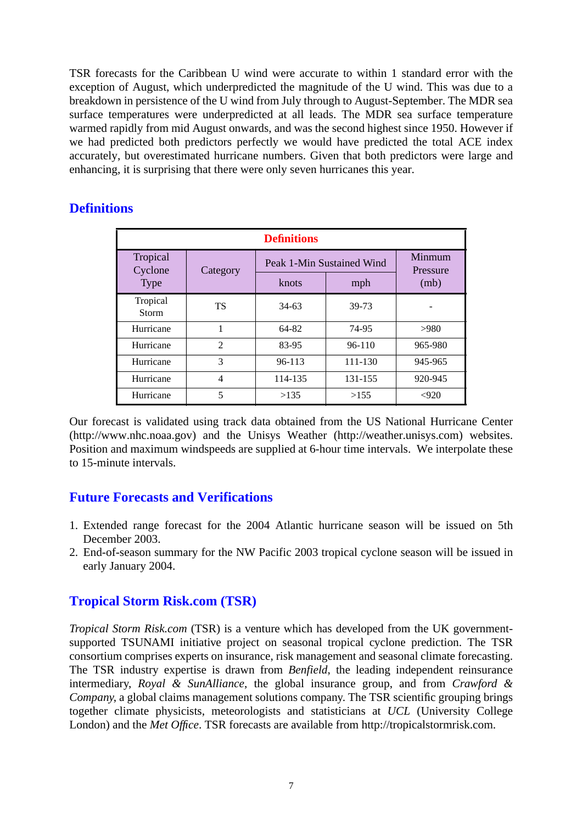TSR forecasts for the Caribbean U wind were accurate to within 1 standard error with the exception of August, which underpredicted the magnitude of the U wind. This was due to a breakdown in persistence of the U wind from July through to August-September. The MDR sea surface temperatures were underpredicted at all leads. The MDR sea surface temperature warmed rapidly from mid August onwards, and was the second highest since 1950. However if we had predicted both predictors perfectly we would have predicted the total ACE index accurately, but overestimated hurricane numbers. Given that both predictors were large and enhancing, it is surprising that there were only seven hurricanes this year.

## **Definitions**

| <b>Definitions</b>       |                |                           |                    |         |  |  |  |
|--------------------------|----------------|---------------------------|--------------------|---------|--|--|--|
| Tropical<br>Cyclone      | Category       | Peak 1-Min Sustained Wind | Minmum<br>Pressure |         |  |  |  |
| <b>Type</b>              |                | knots                     | mph                | (mb)    |  |  |  |
| Tropical<br><b>Storm</b> | <b>TS</b>      | $34-63$                   | 39-73              |         |  |  |  |
| Hurricane                | 1              | 64-82                     | 74-95              | >980    |  |  |  |
| Hurricane                | $\mathfrak{D}$ | 83-95                     | $96-110$           | 965-980 |  |  |  |
| Hurricane                | 3              | $96 - 113$                | 111-130            | 945-965 |  |  |  |
| Hurricane                | 4              | 114-135                   | 131-155            | 920-945 |  |  |  |
| Hurricane                | 5              | >135                      | >155               | < 920   |  |  |  |

Our forecast is validated using track data obtained from the US National Hurricane Center (http://www.nhc.noaa.gov) and the Unisys Weather (http://weather.unisys.com) websites. Position and maximum windspeeds are supplied at 6-hour time intervals. We interpolate these to 15-minute intervals.

## **Future Forecasts and Verifications**

- 1. Extended range forecast for the 2004 Atlantic hurricane season will be issued on 5th December 2003.
- 2. End-of-season summary for the NW Pacific 2003 tropical cyclone season will be issued in early January 2004.

## **Tropical Storm Risk.com (TSR)**

*Tropical Storm Risk.com* (TSR) is a venture which has developed from the UK governmentsupported TSUNAMI initiative project on seasonal tropical cyclone prediction. The TSR consortium comprises experts on insurance, risk management and seasonal climate forecasting. The TSR industry expertise is drawn from *Benfield*, the leading independent reinsurance intermediary, *Royal & SunAlliance*, the global insurance group, and from *Crawford & Company*, a global claims management solutions company. The TSR scientific grouping brings together climate physicists, meteorologists and statisticians at *UCL* (University College London) and the *Met Office*. TSR forecasts are available from http://tropicalstormrisk.com.